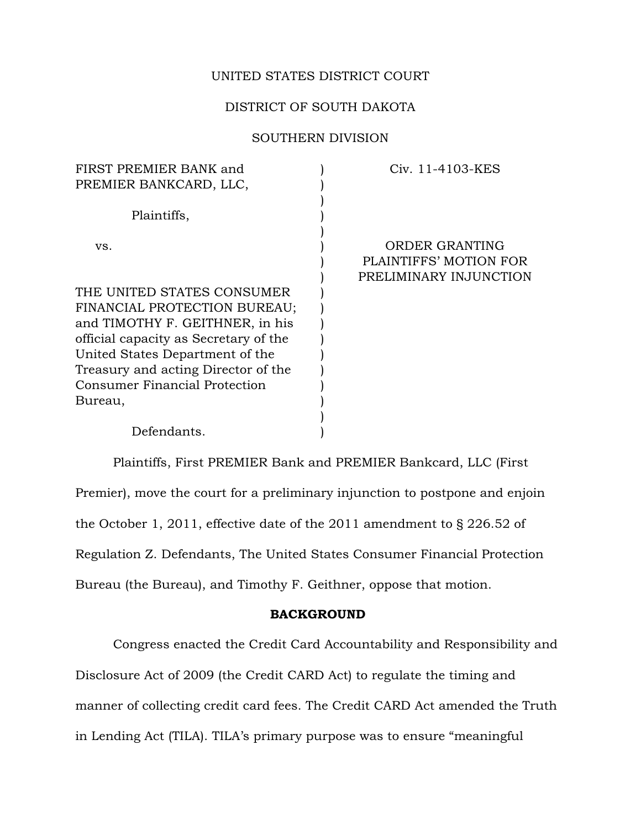### UNITED STATES DISTRICT COURT

## DISTRICT OF SOUTH DAKOTA

# SOUTHERN DIVISION

| Civ. 11-4103-KES       |
|------------------------|
|                        |
|                        |
|                        |
|                        |
| <b>ORDER GRANTING</b>  |
| PLAINTIFFS' MOTION FOR |
| PRELIMINARY INJUNCTION |
|                        |
|                        |
|                        |
|                        |
|                        |
|                        |
|                        |
|                        |
|                        |
|                        |
|                        |

Plaintiffs, First PREMIER Bank and PREMIER Bankcard, LLC (First Premier), move the court for a preliminary injunction to postpone and enjoin the October 1, 2011, effective date of the 2011 amendment to § 226.52 of Regulation Z. Defendants, The United States Consumer Financial Protection Bureau (the Bureau), and Timothy F. Geithner, oppose that motion.

### BACKGROUND

Congress enacted the Credit Card Accountability and Responsibility and Disclosure Act of 2009 (the Credit CARD Act) to regulate the timing and manner of collecting credit card fees. The Credit CARD Act amended the Truth in Lending Act (TILA). TILA's primary purpose was to ensure "meaningful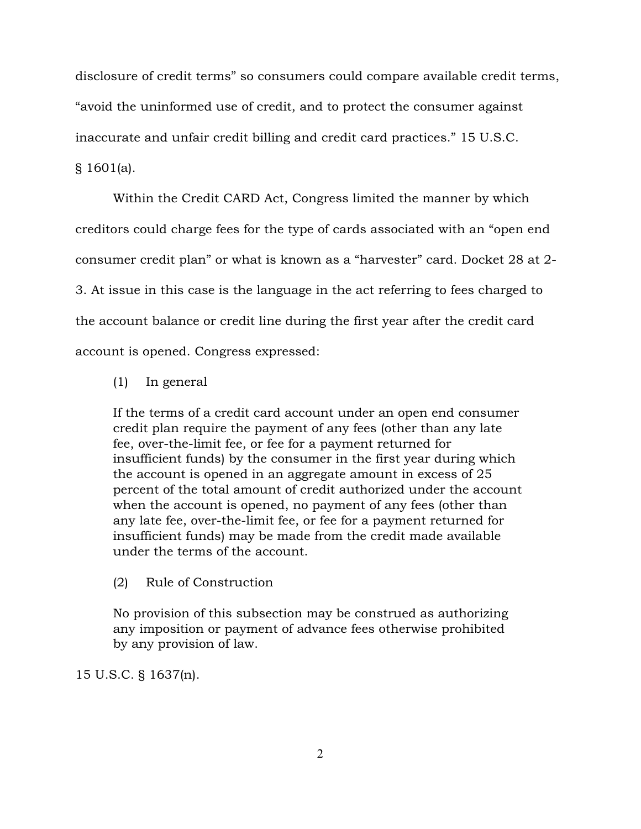disclosure of credit terms" so consumers could compare available credit terms, "avoid the uninformed use of credit, and to protect the consumer against inaccurate and unfair credit billing and credit card practices." 15 U.S.C. § 1601(a).

Within the Credit CARD Act, Congress limited the manner by which creditors could charge fees for the type of cards associated with an "open end consumer credit plan" or what is known as a "harvester" card. Docket 28 at 2- 3. At issue in this case is the language in the act referring to fees charged to the account balance or credit line during the first year after the credit card account is opened. Congress expressed:

(1) In general

If the terms of a credit card account under an open end consumer credit plan require the payment of any fees (other than any late fee, over-the-limit fee, or fee for a payment returned for insufficient funds) by the consumer in the first year during which the account is opened in an aggregate amount in excess of 25 percent of the total amount of credit authorized under the account when the account is opened, no payment of any fees (other than any late fee, over-the-limit fee, or fee for a payment returned for insufficient funds) may be made from the credit made available under the terms of the account.

(2) Rule of Construction

No provision of this subsection may be construed as authorizing any imposition or payment of advance fees otherwise prohibited by any provision of law.

15 U.S.C. § 1637(n).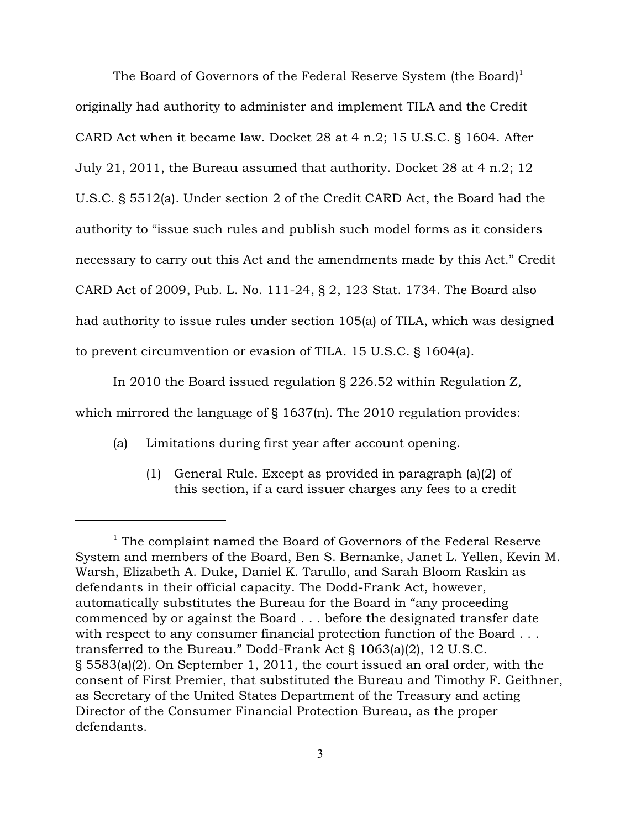The Board of Governors of the Federal Reserve System (the Board)<sup>1</sup> originally had authority to administer and implement TILA and the Credit CARD Act when it became law. Docket 28 at 4 n.2; 15 U.S.C. § 1604. After July 21, 2011, the Bureau assumed that authority. Docket 28 at 4 n.2; 12 U.S.C. § 5512(a). Under section 2 of the Credit CARD Act, the Board had the authority to "issue such rules and publish such model forms as it considers necessary to carry out this Act and the amendments made by this Act." Credit CARD Act of 2009, Pub. L. No. 111-24, § 2, 123 Stat. 1734. The Board also had authority to issue rules under section 105(a) of TILA, which was designed to prevent circumvention or evasion of TILA. 15 U.S.C. § 1604(a).

In 2010 the Board issued regulation § 226.52 within Regulation Z, which mirrored the language of § 1637(n). The 2010 regulation provides:

- (a) Limitations during first year after account opening.
	- (1) General Rule. Except as provided in paragraph (a)(2) of this section, if a card issuer charges any fees to a credit

 $1$ <sup>1</sup> The complaint named the Board of Governors of the Federal Reserve System and members of the Board, Ben S. Bernanke, Janet L. Yellen, Kevin M. Warsh, Elizabeth A. Duke, Daniel K. Tarullo, and Sarah Bloom Raskin as defendants in their official capacity. The Dodd-Frank Act, however, automatically substitutes the Bureau for the Board in "any proceeding commenced by or against the Board . . . before the designated transfer date with respect to any consumer financial protection function of the Board . . . transferred to the Bureau." Dodd-Frank Act § 1063(a)(2), 12 U.S.C. § 5583(a)(2). On September 1, 2011, the court issued an oral order, with the consent of First Premier, that substituted the Bureau and Timothy F. Geithner, as Secretary of the United States Department of the Treasury and acting Director of the Consumer Financial Protection Bureau, as the proper defendants.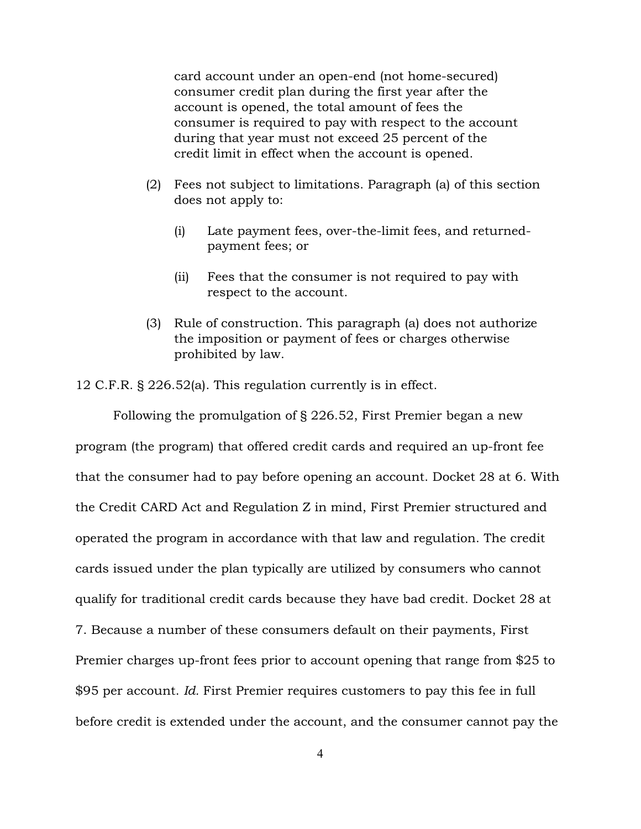card account under an open-end (not home-secured) consumer credit plan during the first year after the account is opened, the total amount of fees the consumer is required to pay with respect to the account during that year must not exceed 25 percent of the credit limit in effect when the account is opened.

- (2) Fees not subject to limitations. Paragraph (a) of this section does not apply to:
	- (i) Late payment fees, over-the-limit fees, and returnedpayment fees; or
	- (ii) Fees that the consumer is not required to pay with respect to the account.
- (3) Rule of construction. This paragraph (a) does not authorize the imposition or payment of fees or charges otherwise prohibited by law.

12 C.F.R. § 226.52(a). This regulation currently is in effect.

Following the promulgation of § 226.52, First Premier began a new program (the program) that offered credit cards and required an up-front fee that the consumer had to pay before opening an account. Docket 28 at 6. With the Credit CARD Act and Regulation Z in mind, First Premier structured and operated the program in accordance with that law and regulation. The credit cards issued under the plan typically are utilized by consumers who cannot qualify for traditional credit cards because they have bad credit. Docket 28 at 7. Because a number of these consumers default on their payments, First Premier charges up-front fees prior to account opening that range from \$25 to \$95 per account. *Id.* First Premier requires customers to pay this fee in full before credit is extended under the account, and the consumer cannot pay the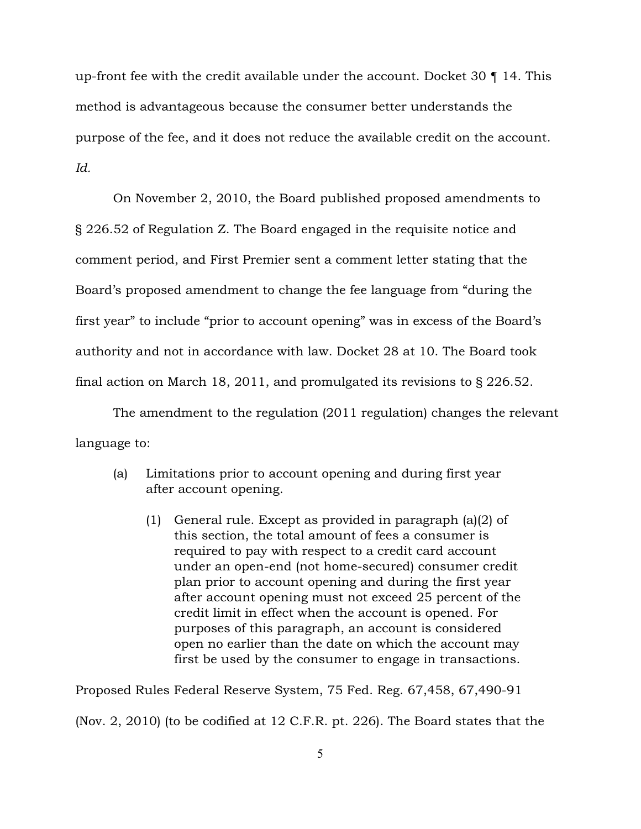up-front fee with the credit available under the account. Docket 30 ¶ 14. This method is advantageous because the consumer better understands the purpose of the fee, and it does not reduce the available credit on the account. *Id.*

On November 2, 2010, the Board published proposed amendments to § 226.52 of Regulation Z. The Board engaged in the requisite notice and comment period, and First Premier sent a comment letter stating that the Board's proposed amendment to change the fee language from "during the first year" to include "prior to account opening" was in excess of the Board's authority and not in accordance with law. Docket 28 at 10. The Board took final action on March 18, 2011, and promulgated its revisions to § 226.52.

The amendment to the regulation (2011 regulation) changes the relevant language to:

- (a) Limitations prior to account opening and during first year after account opening.
	- (1) General rule. Except as provided in paragraph (a)(2) of this section, the total amount of fees a consumer is required to pay with respect to a credit card account under an open-end (not home-secured) consumer credit plan prior to account opening and during the first year after account opening must not exceed 25 percent of the credit limit in effect when the account is opened. For purposes of this paragraph, an account is considered open no earlier than the date on which the account may first be used by the consumer to engage in transactions.

Proposed Rules Federal Reserve System, 75 Fed. Reg. 67,458, 67,490-91

(Nov. 2, 2010) (to be codified at 12 C.F.R. pt. 226). The Board states that the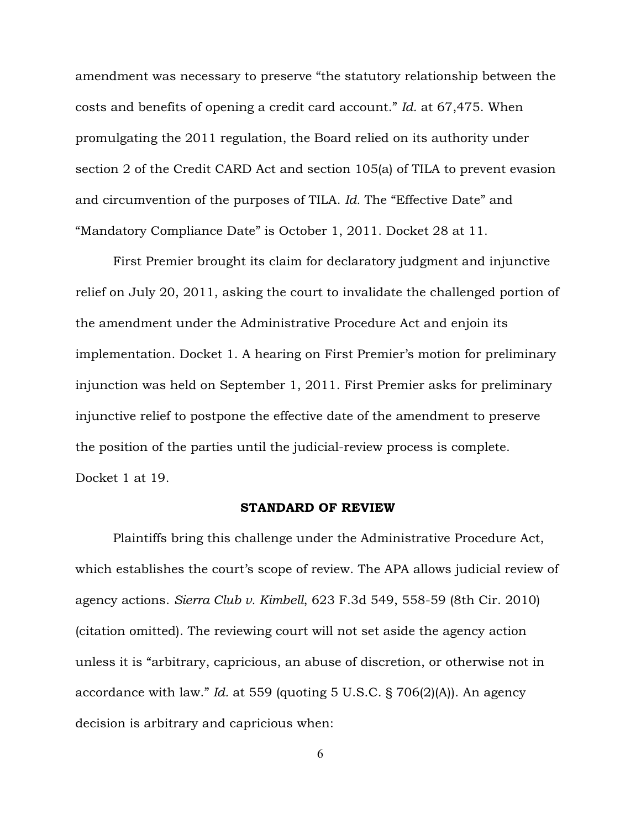amendment was necessary to preserve "the statutory relationship between the costs and benefits of opening a credit card account." *Id.* at 67,475. When promulgating the 2011 regulation, the Board relied on its authority under section 2 of the Credit CARD Act and section 105(a) of TILA to prevent evasion and circumvention of the purposes of TILA. *Id.* The "Effective Date" and "Mandatory Compliance Date" is October 1, 2011. Docket 28 at 11.

First Premier brought its claim for declaratory judgment and injunctive relief on July 20, 2011, asking the court to invalidate the challenged portion of the amendment under the Administrative Procedure Act and enjoin its implementation. Docket 1. A hearing on First Premier's motion for preliminary injunction was held on September 1, 2011. First Premier asks for preliminary injunctive relief to postpone the effective date of the amendment to preserve the position of the parties until the judicial-review process is complete. Docket 1 at 19.

#### STANDARD OF REVIEW

Plaintiffs bring this challenge under the Administrative Procedure Act, which establishes the court's scope of review. The APA allows judicial review of agency actions. *Sierra Club v. Kimbell*, 623 F.3d 549, 558-59 (8th Cir. 2010) (citation omitted). The reviewing court will not set aside the agency action unless it is "arbitrary, capricious, an abuse of discretion, or otherwise not in accordance with law." *Id.* at 559 (quoting 5 U.S.C. § 706(2)(A)). An agency decision is arbitrary and capricious when: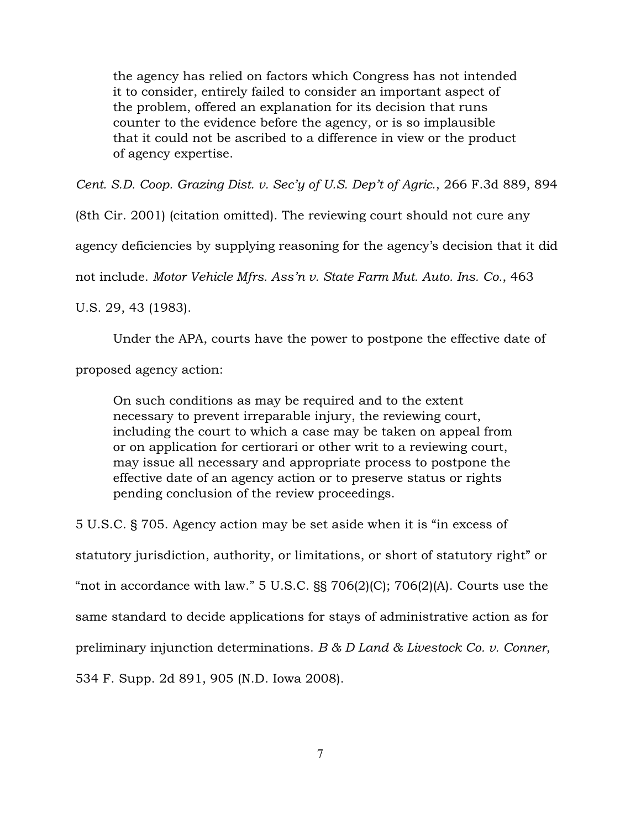the agency has relied on factors which Congress has not intended it to consider, entirely failed to consider an important aspect of the problem, offered an explanation for its decision that runs counter to the evidence before the agency, or is so implausible that it could not be ascribed to a difference in view or the product of agency expertise.

*Cent. S.D. Coop. Grazing Dist. v. Sec'y of U.S. Dep't of Agric*., 266 F.3d 889, 894

(8th Cir. 2001) (citation omitted). The reviewing court should not cure any

agency deficiencies by supplying reasoning for the agency's decision that it did

not include. *Motor Vehicle Mfrs. Ass'n v. State Farm Mut. Auto. Ins. Co.*, 463

U.S. 29, 43 (1983).

Under the APA, courts have the power to postpone the effective date of

proposed agency action:

On such conditions as may be required and to the extent necessary to prevent irreparable injury, the reviewing court, including the court to which a case may be taken on appeal from or on application for certiorari or other writ to a reviewing court, may issue all necessary and appropriate process to postpone the effective date of an agency action or to preserve status or rights pending conclusion of the review proceedings.

5 U.S.C. § 705. Agency action may be set aside when it is "in excess of statutory jurisdiction, authority, or limitations, or short of statutory right" or "not in accordance with law."  $5 \text{ U.S.C. }$   $\S$   $\S$   $706(2)(C)$ ;  $706(2)(A)$ . Courts use the same standard to decide applications for stays of administrative action as for preliminary injunction determinations. *B & D Land & Livestock Co. v. Conner*, 534 F. Supp. 2d 891, 905 (N.D. Iowa 2008).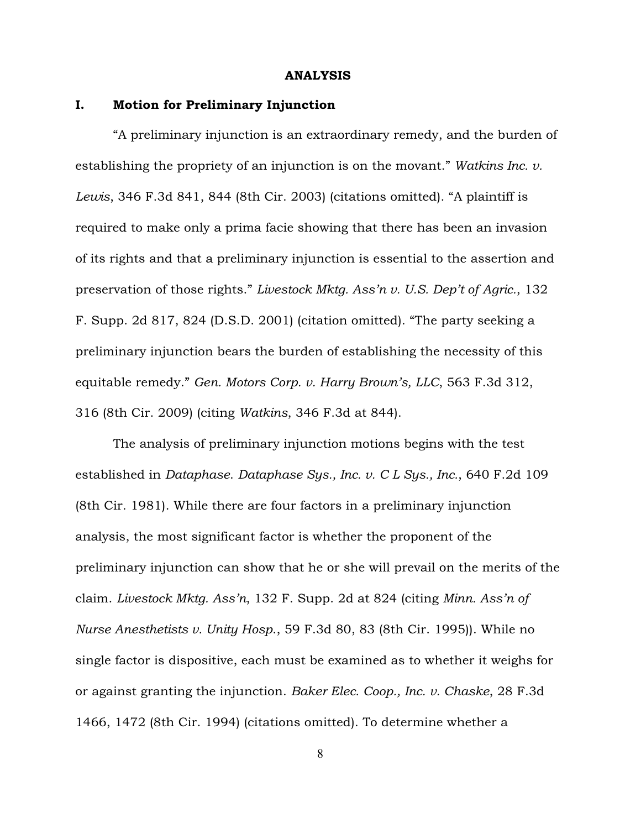#### ANALYSIS

# I. Motion for Preliminary Injunction

"A preliminary injunction is an extraordinary remedy, and the burden of establishing the propriety of an injunction is on the movant." *Watkins Inc. v. Lewis*, 346 F.3d 841, 844 (8th Cir. 2003) (citations omitted). "A plaintiff is required to make only a prima facie showing that there has been an invasion of its rights and that a preliminary injunction is essential to the assertion and preservation of those rights." *Livestock Mktg. Ass'n v. U.S. Dep't of Agric.*, 132 F. Supp. 2d 817, 824 (D.S.D. 2001) (citation omitted). "The party seeking a preliminary injunction bears the burden of establishing the necessity of this equitable remedy." *Gen. Motors Corp. v. Harry Brown's, LLC*, 563 F.3d 312, 316 (8th Cir. 2009) (citing *Watkins*, 346 F.3d at 844).

The analysis of preliminary injunction motions begins with the test established in *Dataphase*. *Dataphase Sys., Inc. v. C L Sys., Inc.*, 640 F.2d 109 (8th Cir. 1981). While there are four factors in a preliminary injunction analysis, the most significant factor is whether the proponent of the preliminary injunction can show that he or she will prevail on the merits of the claim. *Livestock Mktg. Ass'n*, 132 F. Supp. 2d at 824 (citing *Minn. Ass'n of Nurse Anesthetists v. Unity Hosp*., 59 F.3d 80, 83 (8th Cir. 1995)). While no single factor is dispositive, each must be examined as to whether it weighs for or against granting the injunction. *Baker Elec. Coop., Inc. v. Chaske*, 28 F.3d 1466, 1472 (8th Cir. 1994) (citations omitted). To determine whether a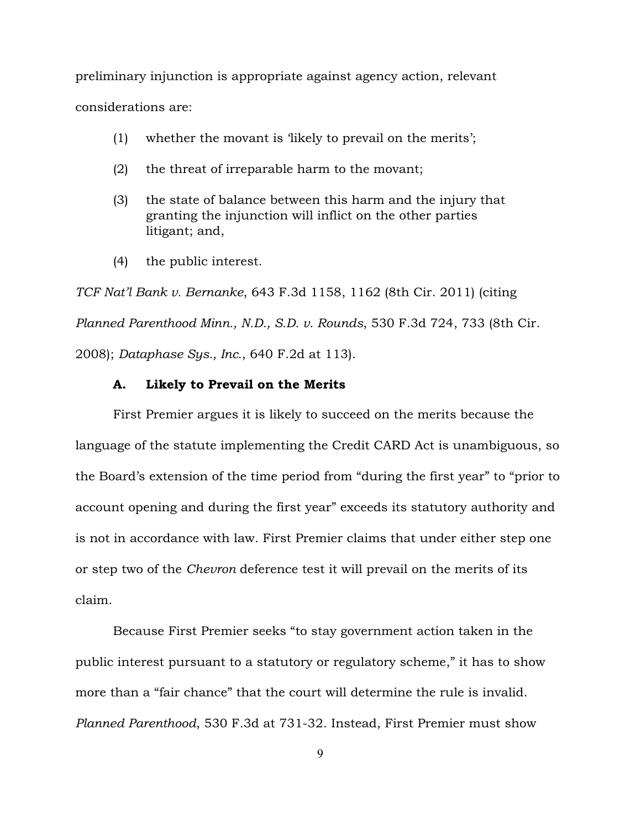preliminary injunction is appropriate against agency action, relevant considerations are:

- (1) whether the movant is 'likely to prevail on the merits';
- (2) the threat of irreparable harm to the movant;
- (3) the state of balance between this harm and the injury that granting the injunction will inflict on the other parties litigant; and,
- (4) the public interest.

*TCF Nat'l Bank v. Bernanke*, 643 F.3d 1158, 1162 (8th Cir. 2011) (citing *Planned Parenthood Minn., N.D., S.D. v. Rounds*, 530 F.3d 724, 733 (8th Cir. 2008); *Dataphase Sys., Inc.*, 640 F.2d at 113).

#### A. Likely to Prevail on the Merits

First Premier argues it is likely to succeed on the merits because the language of the statute implementing the Credit CARD Act is unambiguous, so the Board's extension of the time period from "during the first year" to "prior to account opening and during the first year" exceeds its statutory authority and is not in accordance with law. First Premier claims that under either step one or step two of the *Chevron* deference test it will prevail on the merits of its claim.

Because First Premier seeks "to stay government action taken in the public interest pursuant to a statutory or regulatory scheme," it has to show more than a "fair chance" that the court will determine the rule is invalid. *Planned Parenthood*, 530 F.3d at 731-32. Instead, First Premier must show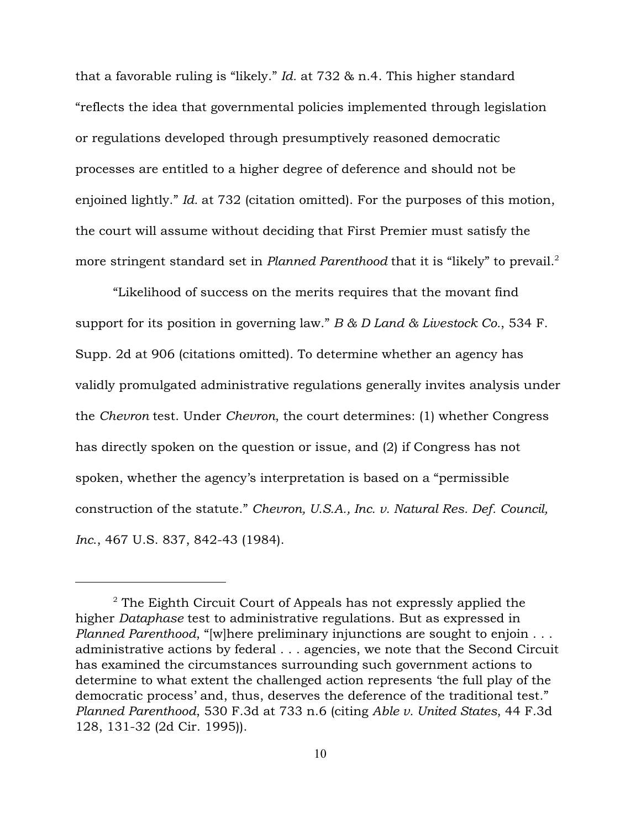that a favorable ruling is "likely." *Id.* at 732 & n.4. This higher standard "reflects the idea that governmental policies implemented through legislation or regulations developed through presumptively reasoned democratic processes are entitled to a higher degree of deference and should not be enjoined lightly." *Id.* at 732 (citation omitted). For the purposes of this motion, the court will assume without deciding that First Premier must satisfy the more stringent standard set in *Planned Parenthood* that it is "likely" to prevail.<sup>2</sup>

"Likelihood of success on the merits requires that the movant find support for its position in governing law." *B & D Land & Livestock Co.*, 534 F. Supp. 2d at 906 (citations omitted). To determine whether an agency has validly promulgated administrative regulations generally invites analysis under the *Chevron* test. Under *Chevron*, the court determines: (1) whether Congress has directly spoken on the question or issue, and (2) if Congress has not spoken, whether the agency's interpretation is based on a "permissible construction of the statute." *Chevron, U.S.A., Inc. v. Natural Res. Def. Council, Inc*., 467 U.S. 837, 842-43 (1984).

 $2$  The Eighth Circuit Court of Appeals has not expressly applied the higher *Dataphase* test to administrative regulations. But as expressed in *Planned Parenthood*, "[w]here preliminary injunctions are sought to enjoin . . . administrative actions by federal . . . agencies, we note that the Second Circuit has examined the circumstances surrounding such government actions to determine to what extent the challenged action represents 'the full play of the democratic process' and, thus, deserves the deference of the traditional test." *Planned Parenthood*, 530 F.3d at 733 n.6 (citing *Able v. United States*, 44 F.3d 128, 131-32 (2d Cir. 1995)).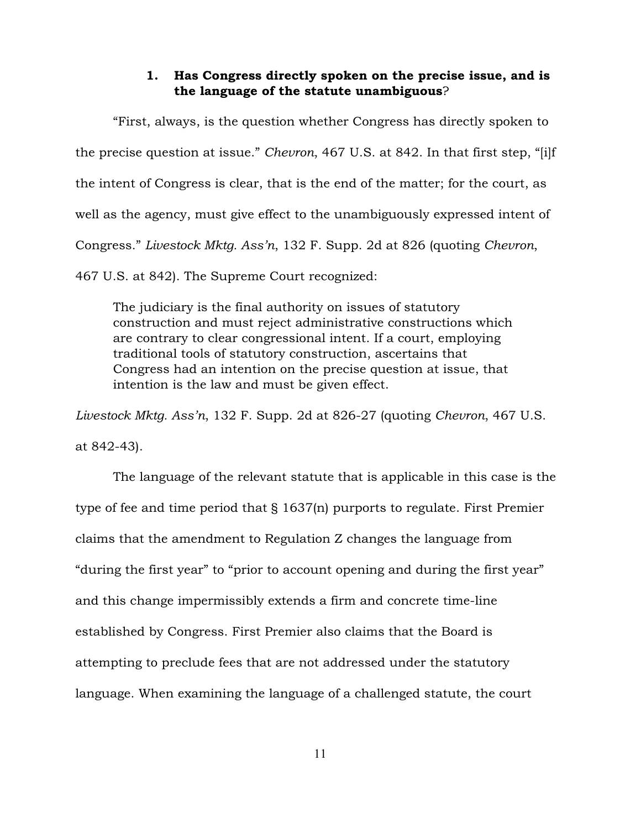## 1. Has Congress directly spoken on the precise issue, and is the language of the statute unambiguous?

"First, always, is the question whether Congress has directly spoken to the precise question at issue." *Chevron*, 467 U.S. at 842. In that first step, "[i]f the intent of Congress is clear, that is the end of the matter; for the court, as well as the agency, must give effect to the unambiguously expressed intent of Congress." *Livestock Mktg. Ass'n*, 132 F. Supp. 2d at 826 (quoting *Chevron*,

467 U.S. at 842). The Supreme Court recognized:

The judiciary is the final authority on issues of statutory construction and must reject administrative constructions which are contrary to clear congressional intent. If a court, employing traditional tools of statutory construction, ascertains that Congress had an intention on the precise question at issue, that intention is the law and must be given effect.

*Livestock Mktg. Ass'n*, 132 F. Supp. 2d at 826-27 (quoting *Chevron*, 467 U.S.

at 842-43).

The language of the relevant statute that is applicable in this case is the type of fee and time period that § 1637(n) purports to regulate. First Premier claims that the amendment to Regulation Z changes the language from "during the first year" to "prior to account opening and during the first year" and this change impermissibly extends a firm and concrete time-line established by Congress. First Premier also claims that the Board is attempting to preclude fees that are not addressed under the statutory language. When examining the language of a challenged statute, the court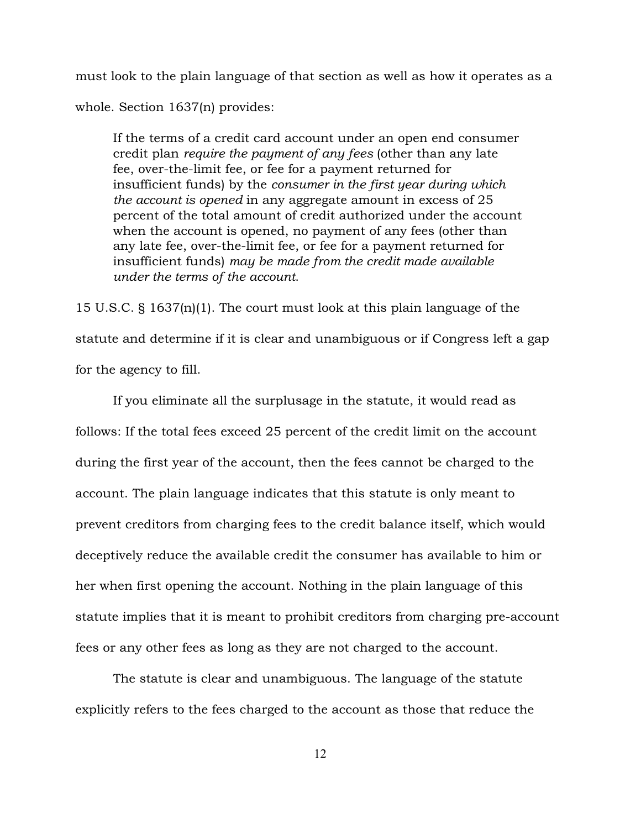must look to the plain language of that section as well as how it operates as a whole. Section 1637(n) provides:

If the terms of a credit card account under an open end consumer credit plan *require the payment of any fees* (other than any late fee, over-the-limit fee, or fee for a payment returned for insufficient funds) by the *consumer in the first year during which the account is opened* in any aggregate amount in excess of 25 percent of the total amount of credit authorized under the account when the account is opened, no payment of any fees (other than any late fee, over-the-limit fee, or fee for a payment returned for insufficient funds) *may be made from the credit made available under the terms of the account*.

15 U.S.C. § 1637(n)(1). The court must look at this plain language of the statute and determine if it is clear and unambiguous or if Congress left a gap for the agency to fill.

If you eliminate all the surplusage in the statute, it would read as follows: If the total fees exceed 25 percent of the credit limit on the account during the first year of the account, then the fees cannot be charged to the account. The plain language indicates that this statute is only meant to prevent creditors from charging fees to the credit balance itself, which would deceptively reduce the available credit the consumer has available to him or her when first opening the account. Nothing in the plain language of this statute implies that it is meant to prohibit creditors from charging pre-account fees or any other fees as long as they are not charged to the account.

The statute is clear and unambiguous. The language of the statute explicitly refers to the fees charged to the account as those that reduce the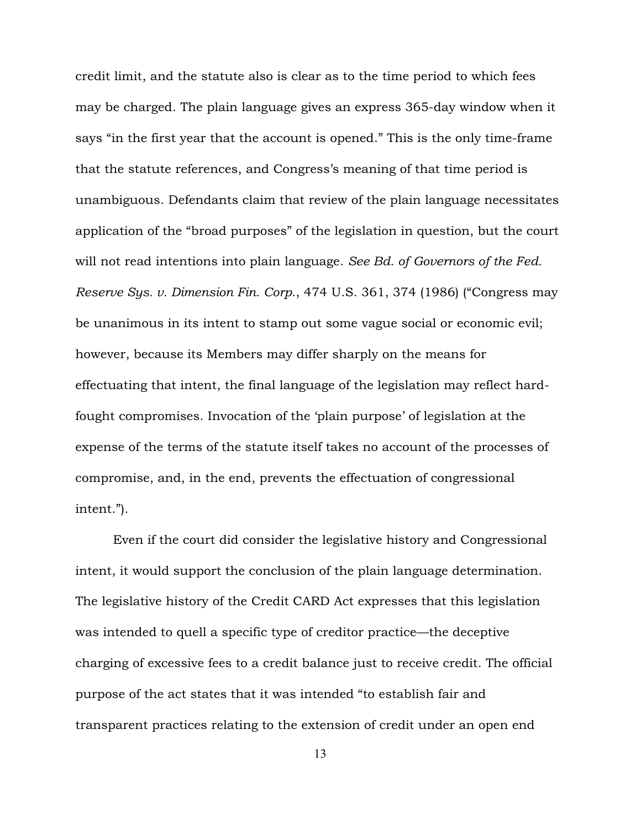credit limit, and the statute also is clear as to the time period to which fees may be charged. The plain language gives an express 365-day window when it says "in the first year that the account is opened." This is the only time-frame that the statute references, and Congress's meaning of that time period is unambiguous. Defendants claim that review of the plain language necessitates application of the "broad purposes" of the legislation in question, but the court will not read intentions into plain language. *See Bd. of Governors of the Fed. Reserve Sys. v. Dimension Fin. Corp*., 474 U.S. 361, 374 (1986) ("Congress may be unanimous in its intent to stamp out some vague social or economic evil; however, because its Members may differ sharply on the means for effectuating that intent, the final language of the legislation may reflect hardfought compromises. Invocation of the 'plain purpose' of legislation at the expense of the terms of the statute itself takes no account of the processes of compromise, and, in the end, prevents the effectuation of congressional intent.").

Even if the court did consider the legislative history and Congressional intent, it would support the conclusion of the plain language determination. The legislative history of the Credit CARD Act expresses that this legislation was intended to quell a specific type of creditor practice—the deceptive charging of excessive fees to a credit balance just to receive credit. The official purpose of the act states that it was intended "to establish fair and transparent practices relating to the extension of credit under an open end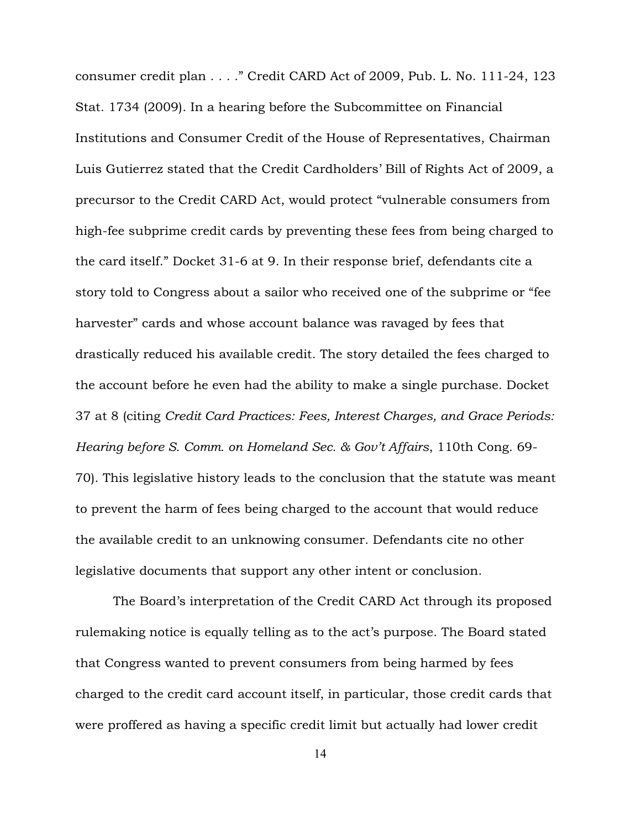consumer credit plan . . . ." Credit CARD Act of 2009, Pub. L. No. 111-24, 123 Stat. 1734 (2009). In a hearing before the Subcommittee on Financial Institutions and Consumer Credit of the House of Representatives, Chairman Luis Gutierrez stated that the Credit Cardholders' Bill of Rights Act of 2009, a precursor to the Credit CARD Act, would protect "vulnerable consumers from high-fee subprime credit cards by preventing these fees from being charged to the card itself." Docket 31-6 at 9. In their response brief, defendants cite a story told to Congress about a sailor who received one of the subprime or "fee harvester" cards and whose account balance was ravaged by fees that drastically reduced his available credit. The story detailed the fees charged to the account before he even had the ability to make a single purchase. Docket 37 at 8 (citing *Credit Card Practices: Fees, Interest Charges, and Grace Periods: Hearing before S. Comm. on Homeland Sec. & Gov't Affairs*, 110th Cong. 69- 70). This legislative history leads to the conclusion that the statute was meant to prevent the harm of fees being charged to the account that would reduce the available credit to an unknowing consumer. Defendants cite no other legislative documents that support any other intent or conclusion.

The Board's interpretation of the Credit CARD Act through its proposed rulemaking notice is equally telling as to the act's purpose. The Board stated that Congress wanted to prevent consumers from being harmed by fees charged to the credit card account itself, in particular, those credit cards that were proffered as having a specific credit limit but actually had lower credit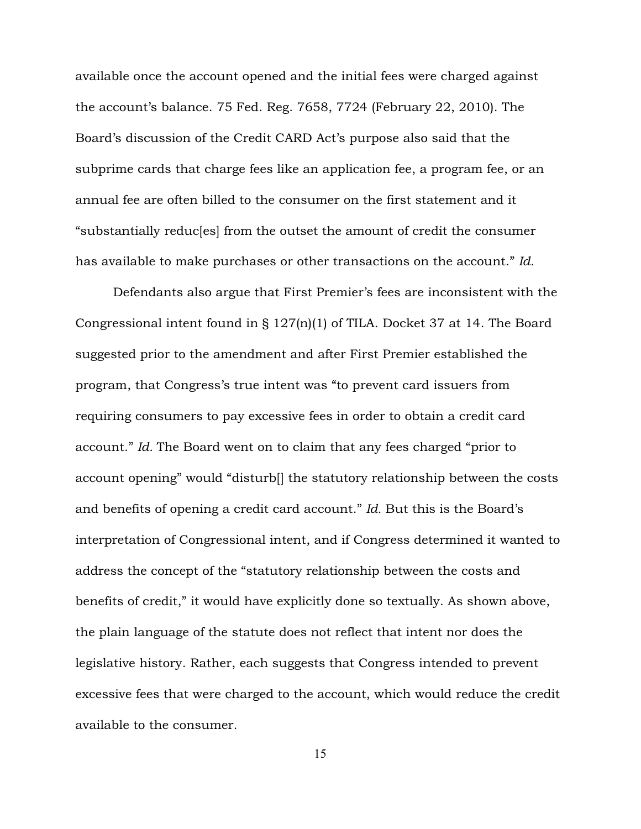available once the account opened and the initial fees were charged against the account's balance. 75 Fed. Reg. 7658, 7724 (February 22, 2010). The Board's discussion of the Credit CARD Act's purpose also said that the subprime cards that charge fees like an application fee, a program fee, or an annual fee are often billed to the consumer on the first statement and it "substantially reduc[es] from the outset the amount of credit the consumer has available to make purchases or other transactions on the account." *Id.*

Defendants also argue that First Premier's fees are inconsistent with the Congressional intent found in § 127(n)(1) of TILA. Docket 37 at 14. The Board suggested prior to the amendment and after First Premier established the program, that Congress's true intent was "to prevent card issuers from requiring consumers to pay excessive fees in order to obtain a credit card account." *Id.* The Board went on to claim that any fees charged "prior to account opening" would "disturb[] the statutory relationship between the costs and benefits of opening a credit card account." *Id.* But this is the Board's interpretation of Congressional intent, and if Congress determined it wanted to address the concept of the "statutory relationship between the costs and benefits of credit," it would have explicitly done so textually. As shown above, the plain language of the statute does not reflect that intent nor does the legislative history. Rather, each suggests that Congress intended to prevent excessive fees that were charged to the account, which would reduce the credit available to the consumer.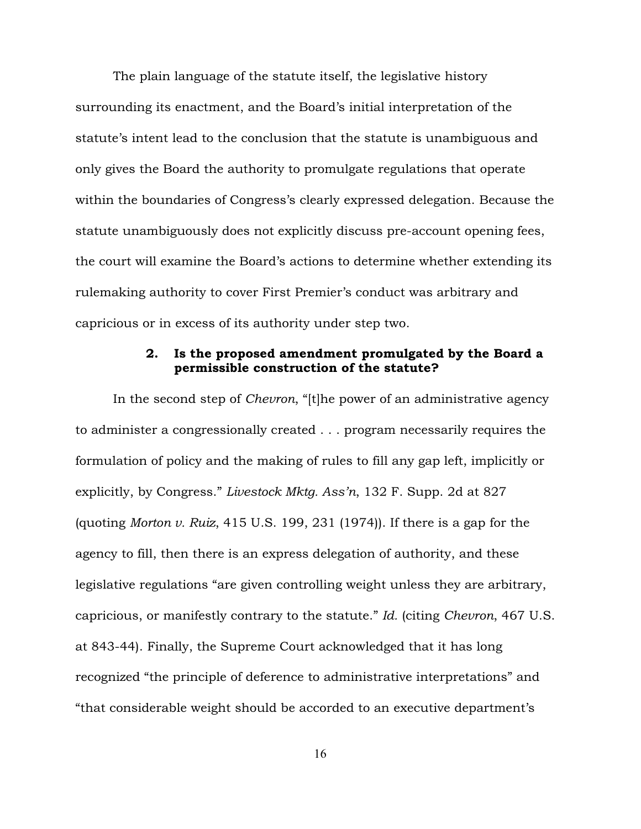The plain language of the statute itself, the legislative history surrounding its enactment, and the Board's initial interpretation of the statute's intent lead to the conclusion that the statute is unambiguous and only gives the Board the authority to promulgate regulations that operate within the boundaries of Congress's clearly expressed delegation. Because the statute unambiguously does not explicitly discuss pre-account opening fees, the court will examine the Board's actions to determine whether extending its rulemaking authority to cover First Premier's conduct was arbitrary and capricious or in excess of its authority under step two.

## 2. Is the proposed amendment promulgated by the Board a permissible construction of the statute?

In the second step of *Chevron*, "[t]he power of an administrative agency to administer a congressionally created . . . program necessarily requires the formulation of policy and the making of rules to fill any gap left, implicitly or explicitly, by Congress." *Livestock Mktg. Ass'n*, 132 F. Supp. 2d at 827 (quoting *Morton v. Ruiz*, 415 U.S. 199, 231 (1974)). If there is a gap for the agency to fill, then there is an express delegation of authority, and these legislative regulations "are given controlling weight unless they are arbitrary, capricious, or manifestly contrary to the statute." *Id.* (citing *Chevron*, 467 U.S. at 843-44). Finally, the Supreme Court acknowledged that it has long recognized "the principle of deference to administrative interpretations" and "that considerable weight should be accorded to an executive department's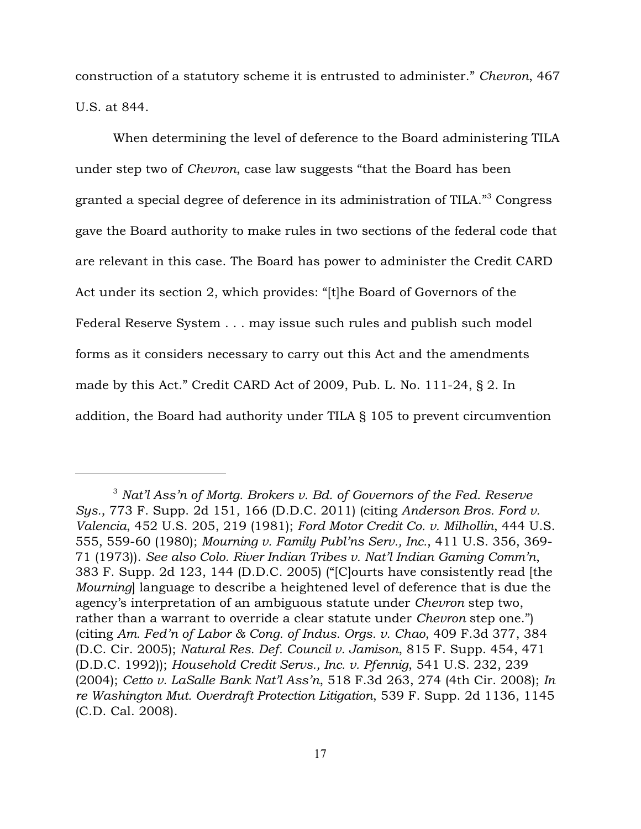construction of a statutory scheme it is entrusted to administer." *Chevron*, 467 U.S. at 844.

When determining the level of deference to the Board administering TILA under step two of *Chevron*, case law suggests "that the Board has been granted a special degree of deference in its administration of TILA."<sup>3</sup> Congress gave the Board authority to make rules in two sections of the federal code that are relevant in this case. The Board has power to administer the Credit CARD Act under its section 2, which provides: "[t]he Board of Governors of the Federal Reserve System . . . may issue such rules and publish such model forms as it considers necessary to carry out this Act and the amendments made by this Act." Credit CARD Act of 2009, Pub. L. No. 111-24, § 2. In addition, the Board had authority under TILA § 105 to prevent circumvention

<sup>&</sup>lt;sup>3</sup> Nat'l Ass'n of Mortg. Brokers v. Bd. of Governors of the Fed. Reserve *Sys.*, 773 F. Supp. 2d 151, 166 (D.D.C. 2011) (citing *Anderson Bros. Ford v. Valencia*, 452 U.S. 205, 219 (1981); *Ford Motor Credit Co. v. Milhollin*, 444 U.S. 555, 559-60 (1980); *Mourning v. Family Publ'ns Serv., Inc.*, 411 U.S. 356, 369- 71 (1973)). *See also Colo. River Indian Tribes v. Nat'l Indian Gaming Comm'n*, 383 F. Supp. 2d 123, 144 (D.D.C. 2005) ("[C]ourts have consistently read [the *Mourning*] language to describe a heightened level of deference that is due the agency's interpretation of an ambiguous statute under *Chevron* step two, rather than a warrant to override a clear statute under *Chevron* step one.") (citing *Am. Fed'n of Labor & Cong. of Indus. Orgs. v. Chao*, 409 F.3d 377, 384 (D.C. Cir. 2005); *Natural Res. Def. Council v. Jamison*, 815 F. Supp. 454, 471 (D.D.C. 1992)); *Household Credit Servs., Inc. v. Pfennig*, 541 U.S. 232, 239 (2004); *Cetto v. LaSalle Bank Nat'l Ass'n*, 518 F.3d 263, 274 (4th Cir. 2008); *In re Washington Mut. Overdraft Protection Litigation*, 539 F. Supp. 2d 1136, 1145 (C.D. Cal. 2008).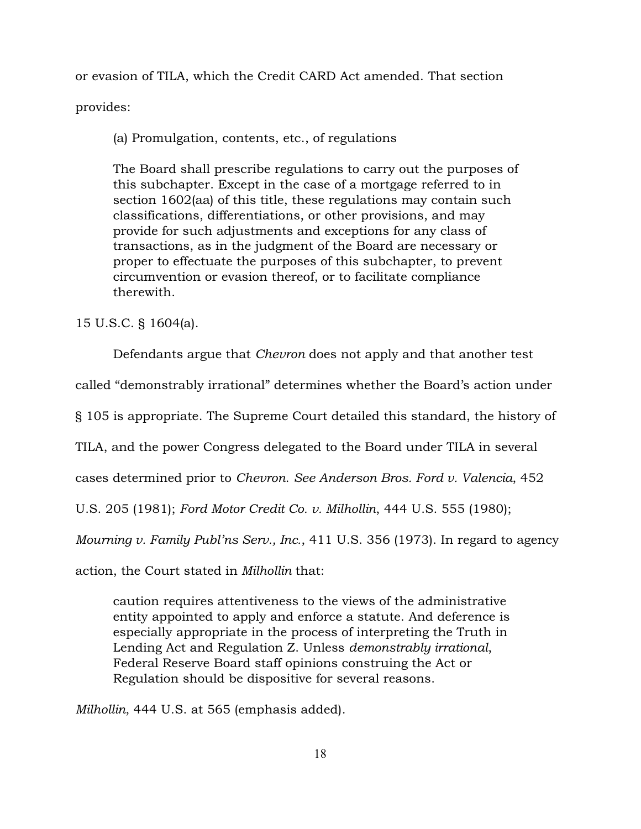or evasion of TILA, which the Credit CARD Act amended. That section

provides:

(a) Promulgation, contents, etc., of regulations

The Board shall prescribe regulations to carry out the purposes of this subchapter. Except in the case of a mortgage referred to in section 1602(aa) of this title, these regulations may contain such classifications, differentiations, or other provisions, and may provide for such adjustments and exceptions for any class of transactions, as in the judgment of the Board are necessary or proper to effectuate the purposes of this subchapter, to prevent circumvention or evasion thereof, or to facilitate compliance therewith.

15 U.S.C. § 1604(a).

Defendants argue that *Chevron* does not apply and that another test called "demonstrably irrational" determines whether the Board's action under § 105 is appropriate. The Supreme Court detailed this standard, the history of TILA, and the power Congress delegated to the Board under TILA in several cases determined prior to *Chevron*. *See Anderson Bros. Ford v. Valencia*, 452 U.S. 205 (1981); *Ford Motor Credit Co. v. Milhollin*, 444 U.S. 555 (1980); *Mourning v. Family Publ'ns Serv., Inc.*, 411 U.S. 356 (1973). In regard to agency

action, the Court stated in *Milhollin* that:

caution requires attentiveness to the views of the administrative entity appointed to apply and enforce a statute. And deference is especially appropriate in the process of interpreting the Truth in Lending Act and Regulation Z. Unless *demonstrably irrational*, Federal Reserve Board staff opinions construing the Act or Regulation should be dispositive for several reasons.

*Milhollin*, 444 U.S. at 565 (emphasis added).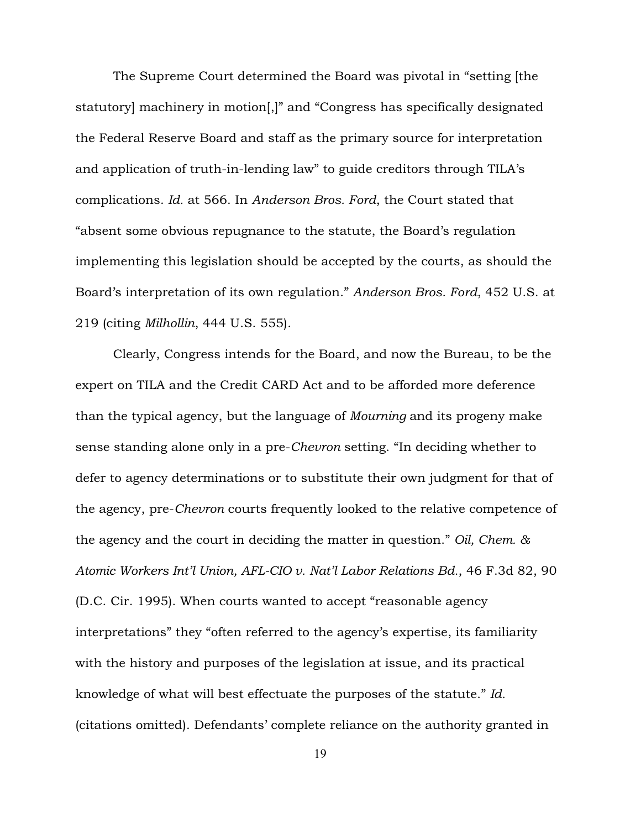The Supreme Court determined the Board was pivotal in "setting [the statutory] machinery in motion[,]" and "Congress has specifically designated the Federal Reserve Board and staff as the primary source for interpretation and application of truth-in-lending law" to guide creditors through TILA's complications. *Id.* at 566. In *Anderson Bros. Ford*, the Court stated that "absent some obvious repugnance to the statute, the Board's regulation implementing this legislation should be accepted by the courts, as should the Board's interpretation of its own regulation." *Anderson Bros. Ford*, 452 U.S. at 219 (citing *Milhollin*, 444 U.S. 555).

Clearly, Congress intends for the Board, and now the Bureau, to be the expert on TILA and the Credit CARD Act and to be afforded more deference than the typical agency, but the language of *Mourning* and its progeny make sense standing alone only in a pre-*Chevron* setting. "In deciding whether to defer to agency determinations or to substitute their own judgment for that of the agency, pre-*Chevron* courts frequently looked to the relative competence of the agency and the court in deciding the matter in question." *Oil, Chem. & Atomic Workers Int'l Union, AFL-CIO v. Nat'l Labor Relations Bd.*, 46 F.3d 82, 90 (D.C. Cir. 1995). When courts wanted to accept "reasonable agency interpretations" they "often referred to the agency's expertise, its familiarity with the history and purposes of the legislation at issue, and its practical knowledge of what will best effectuate the purposes of the statute." *Id.* (citations omitted). Defendants' complete reliance on the authority granted in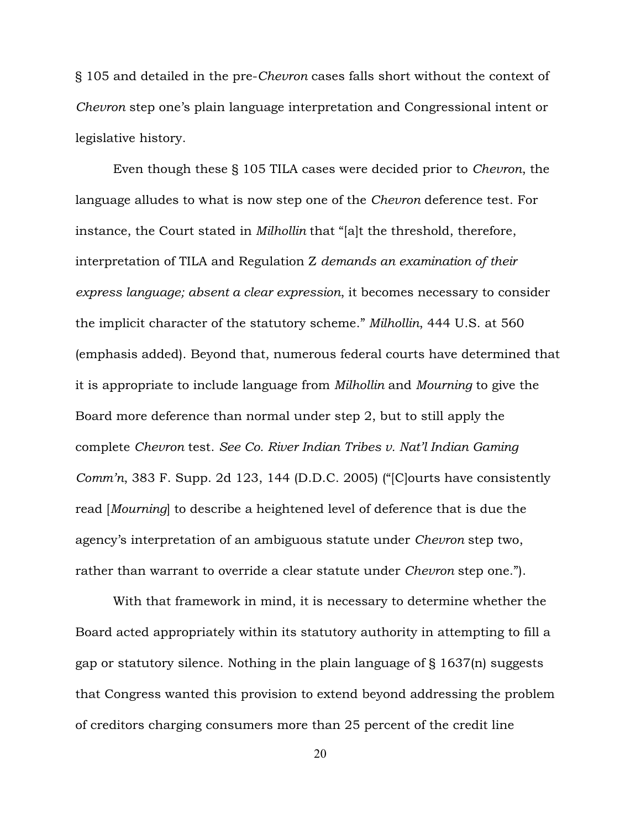§ 105 and detailed in the pre-*Chevron* cases falls short without the context of *Chevron* step one's plain language interpretation and Congressional intent or legislative history.

Even though these § 105 TILA cases were decided prior to *Chevron*, the language alludes to what is now step one of the *Chevron* deference test. For instance, the Court stated in *Milhollin* that "[a]t the threshold, therefore, interpretation of TILA and Regulation Z *demands an examination of their express language; absent a clear expression*, it becomes necessary to consider the implicit character of the statutory scheme." *Milhollin*, 444 U.S. at 560 (emphasis added). Beyond that, numerous federal courts have determined that it is appropriate to include language from *Milhollin* and *Mourning* to give the Board more deference than normal under step 2, but to still apply the complete *Chevron* test. *See Co. River Indian Tribes v. Nat'l Indian Gaming Comm'n*, 383 F. Supp. 2d 123, 144 (D.D.C. 2005) ("[C]ourts have consistently read [*Mourning*] to describe a heightened level of deference that is due the agency's interpretation of an ambiguous statute under *Chevron* step two, rather than warrant to override a clear statute under *Chevron* step one.").

With that framework in mind, it is necessary to determine whether the Board acted appropriately within its statutory authority in attempting to fill a gap or statutory silence. Nothing in the plain language of § 1637(n) suggests that Congress wanted this provision to extend beyond addressing the problem of creditors charging consumers more than 25 percent of the credit line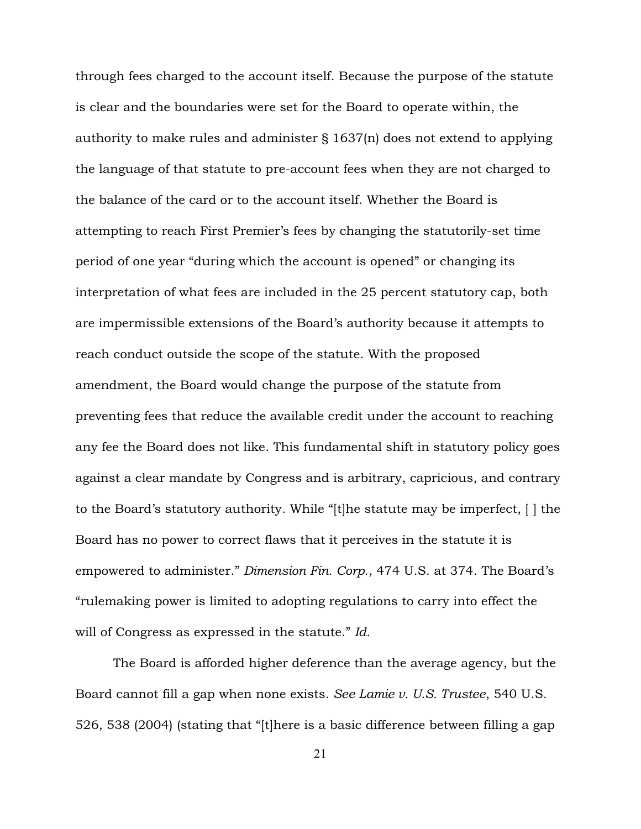through fees charged to the account itself. Because the purpose of the statute is clear and the boundaries were set for the Board to operate within, the authority to make rules and administer § 1637(n) does not extend to applying the language of that statute to pre-account fees when they are not charged to the balance of the card or to the account itself. Whether the Board is attempting to reach First Premier's fees by changing the statutorily-set time period of one year "during which the account is opened" or changing its interpretation of what fees are included in the 25 percent statutory cap, both are impermissible extensions of the Board's authority because it attempts to reach conduct outside the scope of the statute. With the proposed amendment, the Board would change the purpose of the statute from preventing fees that reduce the available credit under the account to reaching any fee the Board does not like. This fundamental shift in statutory policy goes against a clear mandate by Congress and is arbitrary, capricious, and contrary to the Board's statutory authority. While "[t]he statute may be imperfect, [ ] the Board has no power to correct flaws that it perceives in the statute it is empowered to administer." *Dimension Fin. Corp*., 474 U.S. at 374. The Board's "rulemaking power is limited to adopting regulations to carry into effect the will of Congress as expressed in the statute." *Id.* 

The Board is afforded higher deference than the average agency, but the Board cannot fill a gap when none exists. *See Lamie v. U.S. Trustee*, 540 U.S. 526, 538 (2004) (stating that "[t]here is a basic difference between filling a gap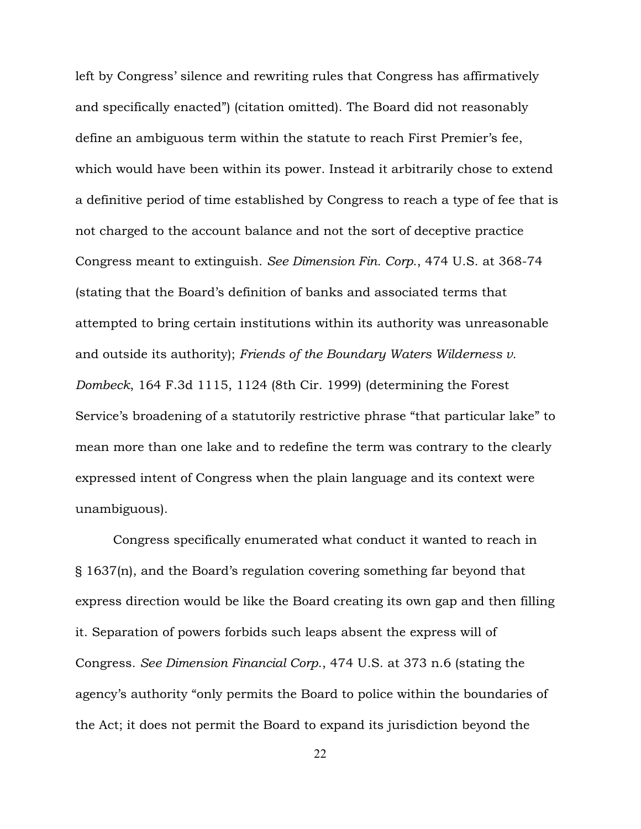left by Congress' silence and rewriting rules that Congress has affirmatively and specifically enacted") (citation omitted). The Board did not reasonably define an ambiguous term within the statute to reach First Premier's fee, which would have been within its power. Instead it arbitrarily chose to extend a definitive period of time established by Congress to reach a type of fee that is not charged to the account balance and not the sort of deceptive practice Congress meant to extinguish. *See Dimension Fin. Corp*., 474 U.S. at 368-74 (stating that the Board's definition of banks and associated terms that attempted to bring certain institutions within its authority was unreasonable and outside its authority); *Friends of the Boundary Waters Wilderness v. Dombeck*, 164 F.3d 1115, 1124 (8th Cir. 1999) (determining the Forest Service's broadening of a statutorily restrictive phrase "that particular lake" to mean more than one lake and to redefine the term was contrary to the clearly expressed intent of Congress when the plain language and its context were unambiguous).

Congress specifically enumerated what conduct it wanted to reach in § 1637(n), and the Board's regulation covering something far beyond that express direction would be like the Board creating its own gap and then filling it. Separation of powers forbids such leaps absent the express will of Congress. *See Dimension Financial Corp*., 474 U.S. at 373 n.6 (stating the agency's authority "only permits the Board to police within the boundaries of the Act; it does not permit the Board to expand its jurisdiction beyond the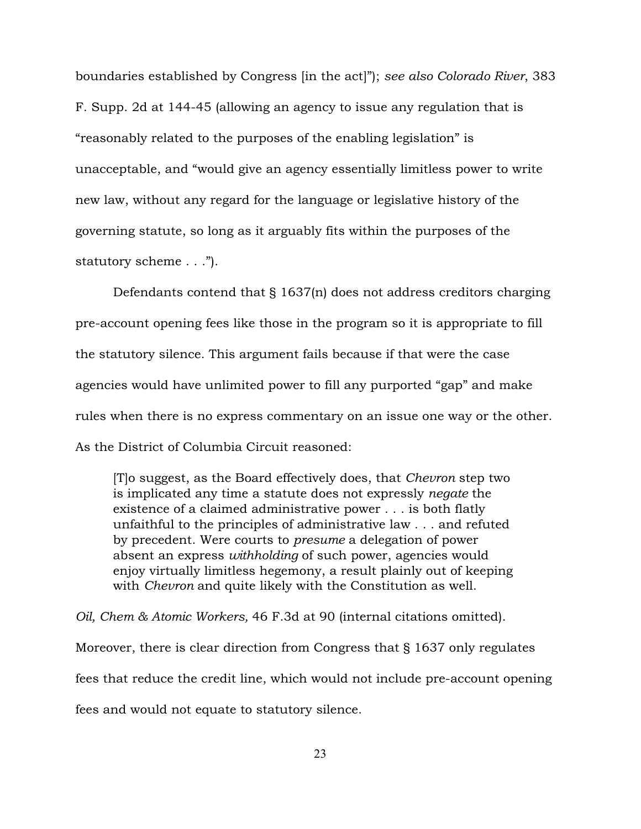boundaries established by Congress [in the act]"); *see also Colorado River*, 383 F. Supp. 2d at 144-45 (allowing an agency to issue any regulation that is "reasonably related to the purposes of the enabling legislation" is unacceptable, and "would give an agency essentially limitless power to write new law, without any regard for the language or legislative history of the governing statute, so long as it arguably fits within the purposes of the statutory scheme . . .").

Defendants contend that § 1637(n) does not address creditors charging pre-account opening fees like those in the program so it is appropriate to fill the statutory silence. This argument fails because if that were the case agencies would have unlimited power to fill any purported "gap" and make rules when there is no express commentary on an issue one way or the other. As the District of Columbia Circuit reasoned:

[T]o suggest, as the Board effectively does, that *Chevron* step two is implicated any time a statute does not expressly *negate* the existence of a claimed administrative power . . . is both flatly unfaithful to the principles of administrative law . . . and refuted by precedent. Were courts to *presume* a delegation of power absent an express *withholding* of such power, agencies would enjoy virtually limitless hegemony, a result plainly out of keeping with *Chevron* and quite likely with the Constitution as well.

*Oil, Chem & Atomic Workers,* 46 F.3d at 90 (internal citations omitted). Moreover, there is clear direction from Congress that § 1637 only regulates fees that reduce the credit line, which would not include pre-account opening fees and would not equate to statutory silence.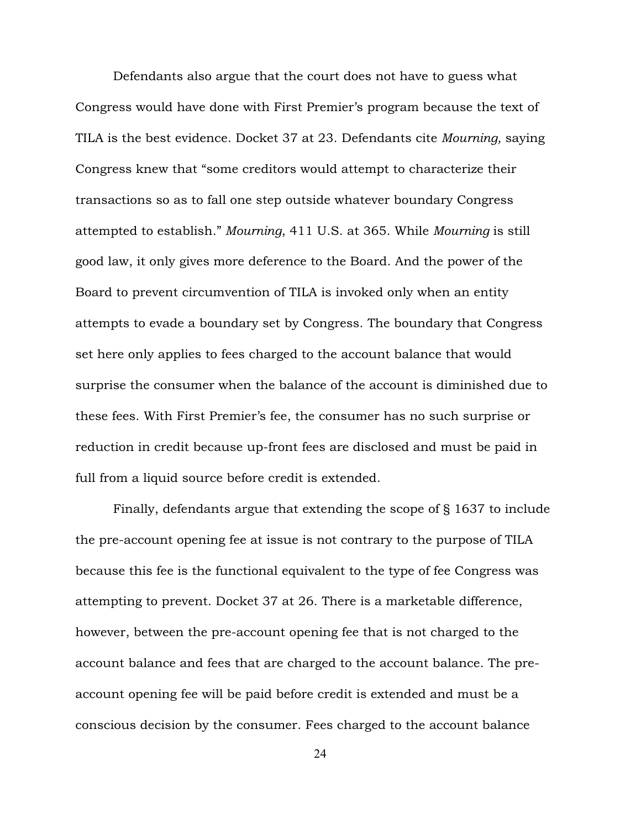Defendants also argue that the court does not have to guess what Congress would have done with First Premier's program because the text of TILA is the best evidence. Docket 37 at 23. Defendants cite *Mourning,* saying Congress knew that "some creditors would attempt to characterize their transactions so as to fall one step outside whatever boundary Congress attempted to establish." *Mourning*, 411 U.S. at 365. While *Mourning* is still good law, it only gives more deference to the Board. And the power of the Board to prevent circumvention of TILA is invoked only when an entity attempts to evade a boundary set by Congress. The boundary that Congress set here only applies to fees charged to the account balance that would surprise the consumer when the balance of the account is diminished due to these fees. With First Premier's fee, the consumer has no such surprise or reduction in credit because up-front fees are disclosed and must be paid in full from a liquid source before credit is extended.

Finally, defendants argue that extending the scope of § 1637 to include the pre-account opening fee at issue is not contrary to the purpose of TILA because this fee is the functional equivalent to the type of fee Congress was attempting to prevent. Docket 37 at 26. There is a marketable difference, however, between the pre-account opening fee that is not charged to the account balance and fees that are charged to the account balance. The preaccount opening fee will be paid before credit is extended and must be a conscious decision by the consumer. Fees charged to the account balance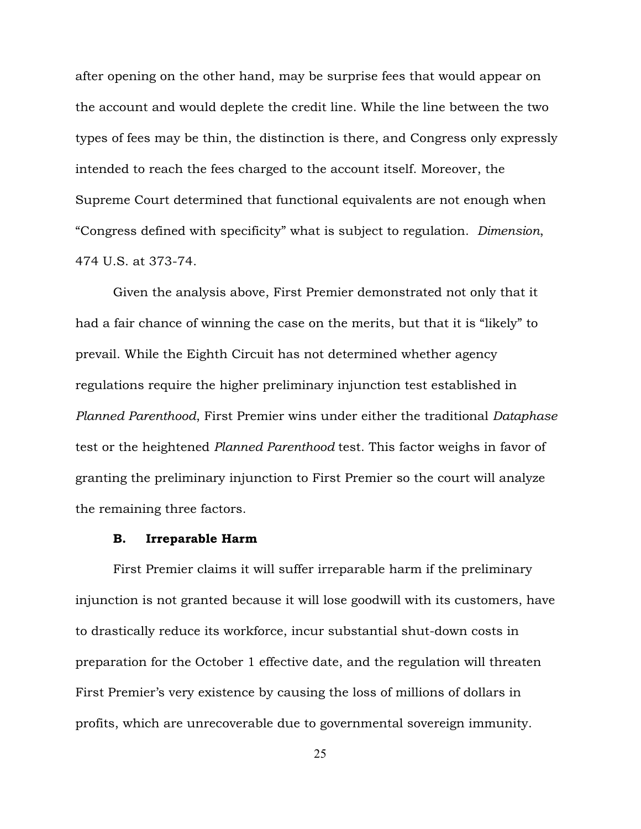after opening on the other hand, may be surprise fees that would appear on the account and would deplete the credit line. While the line between the two types of fees may be thin, the distinction is there, and Congress only expressly intended to reach the fees charged to the account itself. Moreover, the Supreme Court determined that functional equivalents are not enough when "Congress defined with specificity" what is subject to regulation. *Dimension*, 474 U.S. at 373-74.

Given the analysis above, First Premier demonstrated not only that it had a fair chance of winning the case on the merits, but that it is "likely" to prevail. While the Eighth Circuit has not determined whether agency regulations require the higher preliminary injunction test established in *Planned Parenthood*, First Premier wins under either the traditional *Dataphase* test or the heightened *Planned Parenthood* test. This factor weighs in favor of granting the preliminary injunction to First Premier so the court will analyze the remaining three factors.

#### B. Irreparable Harm

First Premier claims it will suffer irreparable harm if the preliminary injunction is not granted because it will lose goodwill with its customers, have to drastically reduce its workforce, incur substantial shut-down costs in preparation for the October 1 effective date, and the regulation will threaten First Premier's very existence by causing the loss of millions of dollars in profits, which are unrecoverable due to governmental sovereign immunity.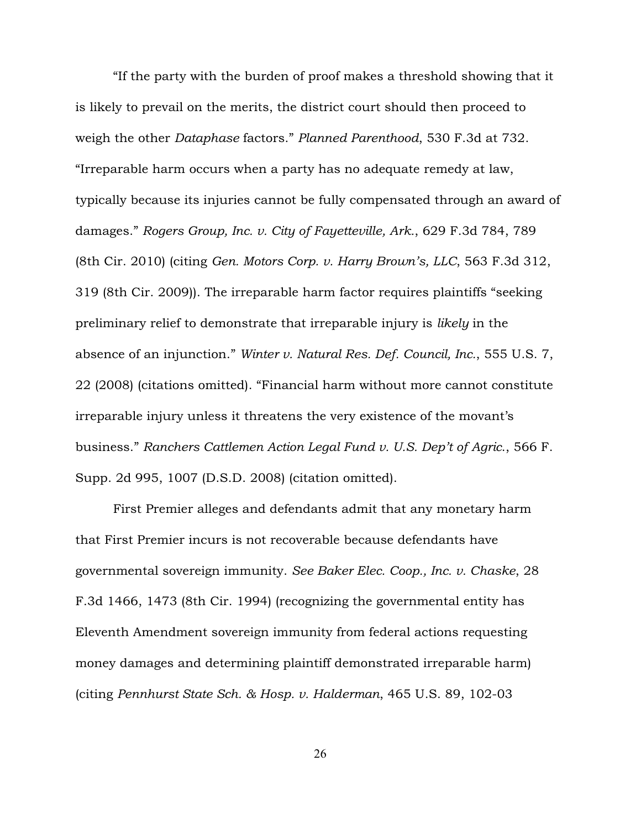"If the party with the burden of proof makes a threshold showing that it is likely to prevail on the merits, the district court should then proceed to weigh the other *Dataphase* factors." *Planned Parenthood*, 530 F.3d at 732. "Irreparable harm occurs when a party has no adequate remedy at law, typically because its injuries cannot be fully compensated through an award of damages." *Rogers Group, Inc. v. City of Fayetteville, Ark.*, 629 F.3d 784, 789 (8th Cir. 2010) (citing *Gen. Motors Corp. v. Harry Brown's, LLC*, 563 F.3d 312, 319 (8th Cir. 2009)). The irreparable harm factor requires plaintiffs "seeking preliminary relief to demonstrate that irreparable injury is *likely* in the absence of an injunction." *Winter v. Natural Res. Def. Council, Inc.*, 555 U.S. 7, 22 (2008) (citations omitted). "Financial harm without more cannot constitute irreparable injury unless it threatens the very existence of the movant's business." *Ranchers Cattlemen Action Legal Fund v. U.S. Dep't of Agric*., 566 F. Supp. 2d 995, 1007 (D.S.D. 2008) (citation omitted).

First Premier alleges and defendants admit that any monetary harm that First Premier incurs is not recoverable because defendants have governmental sovereign immunity. *See Baker Elec. Coop., Inc. v. Chaske*, 28 F.3d 1466, 1473 (8th Cir. 1994) (recognizing the governmental entity has Eleventh Amendment sovereign immunity from federal actions requesting money damages and determining plaintiff demonstrated irreparable harm) (citing *Pennhurst State Sch. & Hosp. v. Halderman*, 465 U.S. 89, 102-03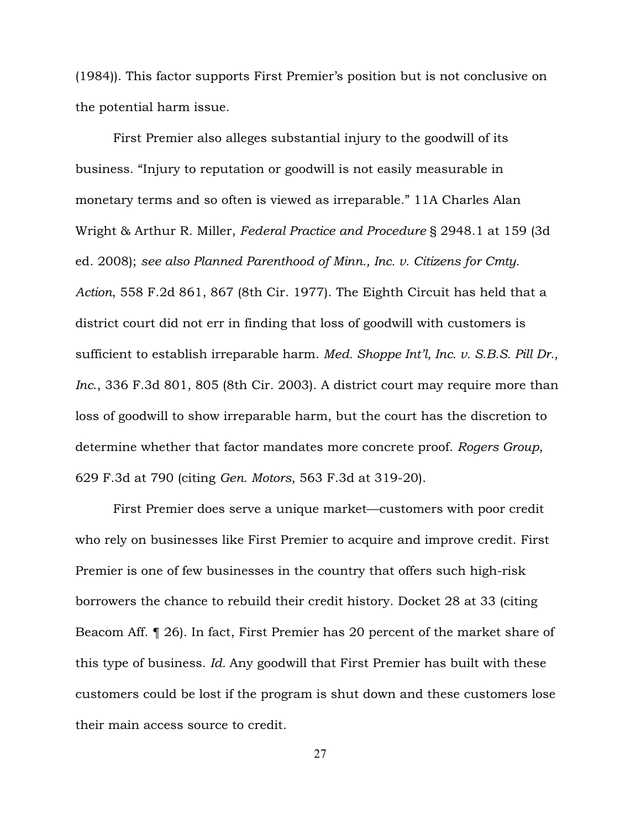(1984)). This factor supports First Premier's position but is not conclusive on the potential harm issue.

First Premier also alleges substantial injury to the goodwill of its business. "Injury to reputation or goodwill is not easily measurable in monetary terms and so often is viewed as irreparable." 11A Charles Alan Wright & Arthur R. Miller, *Federal Practice and Procedure* § 2948.1 at 159 (3d ed. 2008); *see also Planned Parenthood of Minn., Inc. v. Citizens for Cmty. Action*, 558 F.2d 861, 867 (8th Cir. 1977). The Eighth Circuit has held that a district court did not err in finding that loss of goodwill with customers is sufficient to establish irreparable harm. *Med. Shoppe Int'l, Inc. v. S.B.S. Pill Dr., Inc*., 336 F.3d 801, 805 (8th Cir. 2003). A district court may require more than loss of goodwill to show irreparable harm, but the court has the discretion to determine whether that factor mandates more concrete proof. *Rogers Group*, 629 F.3d at 790 (citing *Gen. Motors*, 563 F.3d at 319-20).

First Premier does serve a unique market—customers with poor credit who rely on businesses like First Premier to acquire and improve credit. First Premier is one of few businesses in the country that offers such high-risk borrowers the chance to rebuild their credit history. Docket 28 at 33 (citing Beacom Aff. ¶ 26). In fact, First Premier has 20 percent of the market share of this type of business. *Id.* Any goodwill that First Premier has built with these customers could be lost if the program is shut down and these customers lose their main access source to credit.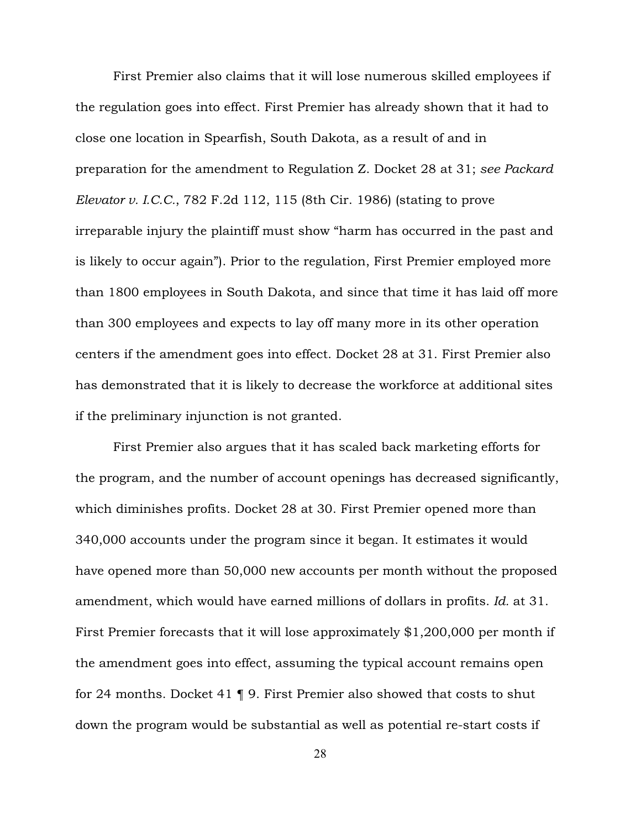First Premier also claims that it will lose numerous skilled employees if the regulation goes into effect. First Premier has already shown that it had to close one location in Spearfish, South Dakota, as a result of and in preparation for the amendment to Regulation Z. Docket 28 at 31; *see Packard Elevator v. I.C.C.*, 782 F.2d 112, 115 (8th Cir. 1986) (stating to prove irreparable injury the plaintiff must show "harm has occurred in the past and is likely to occur again"). Prior to the regulation, First Premier employed more than 1800 employees in South Dakota, and since that time it has laid off more than 300 employees and expects to lay off many more in its other operation centers if the amendment goes into effect. Docket 28 at 31. First Premier also has demonstrated that it is likely to decrease the workforce at additional sites if the preliminary injunction is not granted.

First Premier also argues that it has scaled back marketing efforts for the program, and the number of account openings has decreased significantly, which diminishes profits. Docket 28 at 30. First Premier opened more than 340,000 accounts under the program since it began. It estimates it would have opened more than 50,000 new accounts per month without the proposed amendment, which would have earned millions of dollars in profits. *Id.* at 31. First Premier forecasts that it will lose approximately \$1,200,000 per month if the amendment goes into effect, assuming the typical account remains open for 24 months. Docket 41 ¶ 9. First Premier also showed that costs to shut down the program would be substantial as well as potential re-start costs if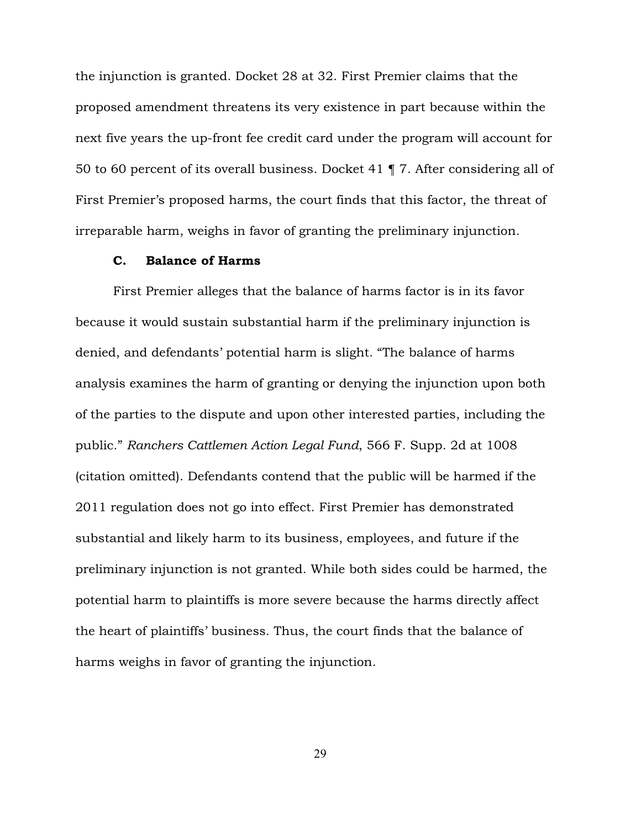the injunction is granted. Docket 28 at 32. First Premier claims that the proposed amendment threatens its very existence in part because within the next five years the up-front fee credit card under the program will account for 50 to 60 percent of its overall business. Docket 41 ¶ 7. After considering all of First Premier's proposed harms, the court finds that this factor, the threat of irreparable harm, weighs in favor of granting the preliminary injunction.

### C. Balance of Harms

First Premier alleges that the balance of harms factor is in its favor because it would sustain substantial harm if the preliminary injunction is denied, and defendants' potential harm is slight. "The balance of harms analysis examines the harm of granting or denying the injunction upon both of the parties to the dispute and upon other interested parties, including the public." *Ranchers Cattlemen Action Legal Fund*, 566 F. Supp. 2d at 1008 (citation omitted). Defendants contend that the public will be harmed if the 2011 regulation does not go into effect. First Premier has demonstrated substantial and likely harm to its business, employees, and future if the preliminary injunction is not granted. While both sides could be harmed, the potential harm to plaintiffs is more severe because the harms directly affect the heart of plaintiffs' business. Thus, the court finds that the balance of harms weighs in favor of granting the injunction.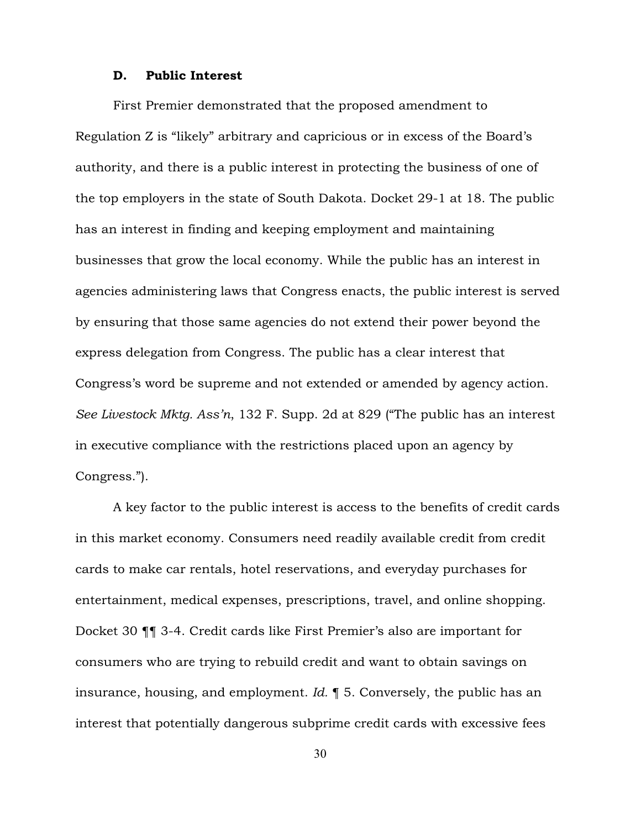#### D. Public Interest

First Premier demonstrated that the proposed amendment to Regulation Z is "likely" arbitrary and capricious or in excess of the Board's authority, and there is a public interest in protecting the business of one of the top employers in the state of South Dakota. Docket 29-1 at 18. The public has an interest in finding and keeping employment and maintaining businesses that grow the local economy. While the public has an interest in agencies administering laws that Congress enacts, the public interest is served by ensuring that those same agencies do not extend their power beyond the express delegation from Congress. The public has a clear interest that Congress's word be supreme and not extended or amended by agency action. *See Livestock Mktg. Ass'n*, 132 F. Supp. 2d at 829 ("The public has an interest in executive compliance with the restrictions placed upon an agency by Congress.").

A key factor to the public interest is access to the benefits of credit cards in this market economy. Consumers need readily available credit from credit cards to make car rentals, hotel reservations, and everyday purchases for entertainment, medical expenses, prescriptions, travel, and online shopping. Docket 30 ¶¶ 3-4. Credit cards like First Premier's also are important for consumers who are trying to rebuild credit and want to obtain savings on insurance, housing, and employment. *Id.* ¶ 5. Conversely, the public has an interest that potentially dangerous subprime credit cards with excessive fees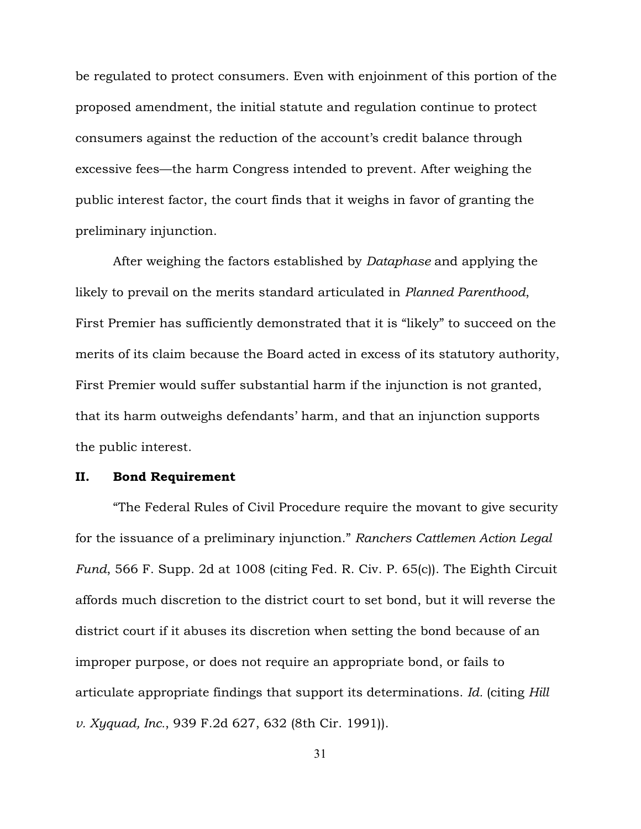be regulated to protect consumers. Even with enjoinment of this portion of the proposed amendment, the initial statute and regulation continue to protect consumers against the reduction of the account's credit balance through excessive fees—the harm Congress intended to prevent. After weighing the public interest factor, the court finds that it weighs in favor of granting the preliminary injunction.

After weighing the factors established by *Dataphase* and applying the likely to prevail on the merits standard articulated in *Planned Parenthood*, First Premier has sufficiently demonstrated that it is "likely" to succeed on the merits of its claim because the Board acted in excess of its statutory authority, First Premier would suffer substantial harm if the injunction is not granted, that its harm outweighs defendants' harm, and that an injunction supports the public interest.

#### II. Bond Requirement

"The Federal Rules of Civil Procedure require the movant to give security for the issuance of a preliminary injunction." *Ranchers Cattlemen Action Legal Fund*, 566 F. Supp. 2d at 1008 (citing Fed. R. Civ. P. 65(c)). The Eighth Circuit affords much discretion to the district court to set bond, but it will reverse the district court if it abuses its discretion when setting the bond because of an improper purpose, or does not require an appropriate bond, or fails to articulate appropriate findings that support its determinations. *Id.* (citing *Hill v. Xyquad, Inc.*, 939 F.2d 627, 632 (8th Cir. 1991)).